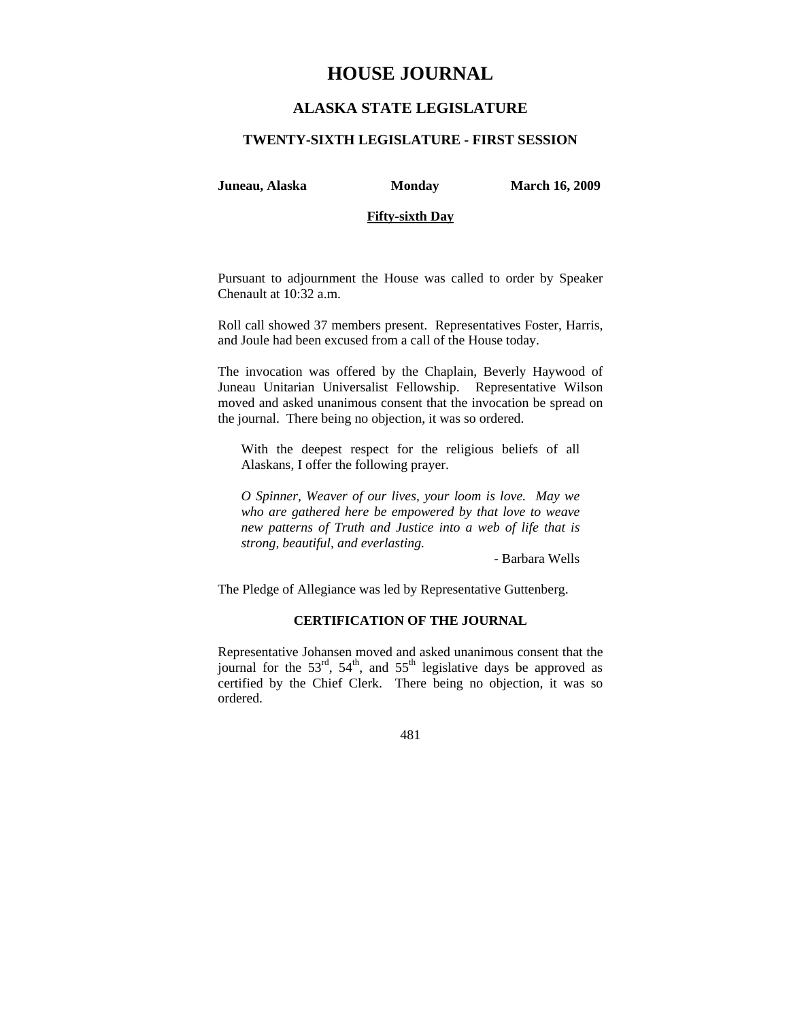# **HOUSE JOURNAL**

# **ALASKA STATE LEGISLATURE**

#### **TWENTY-SIXTH LEGISLATURE - FIRST SESSION**

**Juneau, Alaska Monday March 16, 2009** 

### **Fifty-sixth Day**

Pursuant to adjournment the House was called to order by Speaker Chenault at 10:32 a.m.

Roll call showed 37 members present. Representatives Foster, Harris, and Joule had been excused from a call of the House today.

The invocation was offered by the Chaplain, Beverly Haywood of Juneau Unitarian Universalist Fellowship. Representative Wilson moved and asked unanimous consent that the invocation be spread on the journal. There being no objection, it was so ordered.

With the deepest respect for the religious beliefs of all Alaskans, I offer the following prayer.

*O Spinner, Weaver of our lives, your loom is love. May we who are gathered here be empowered by that love to weave new patterns of Truth and Justice into a web of life that is strong, beautiful, and everlasting.* 

- Barbara Wells

The Pledge of Allegiance was led by Representative Guttenberg.

# **CERTIFICATION OF THE JOURNAL**

Representative Johansen moved and asked unanimous consent that the journal for the  $53<sup>rd</sup>$ ,  $54<sup>th</sup>$ , and  $55<sup>th</sup>$  legislative days be approved as certified by the Chief Clerk. There being no objection, it was so ordered.

481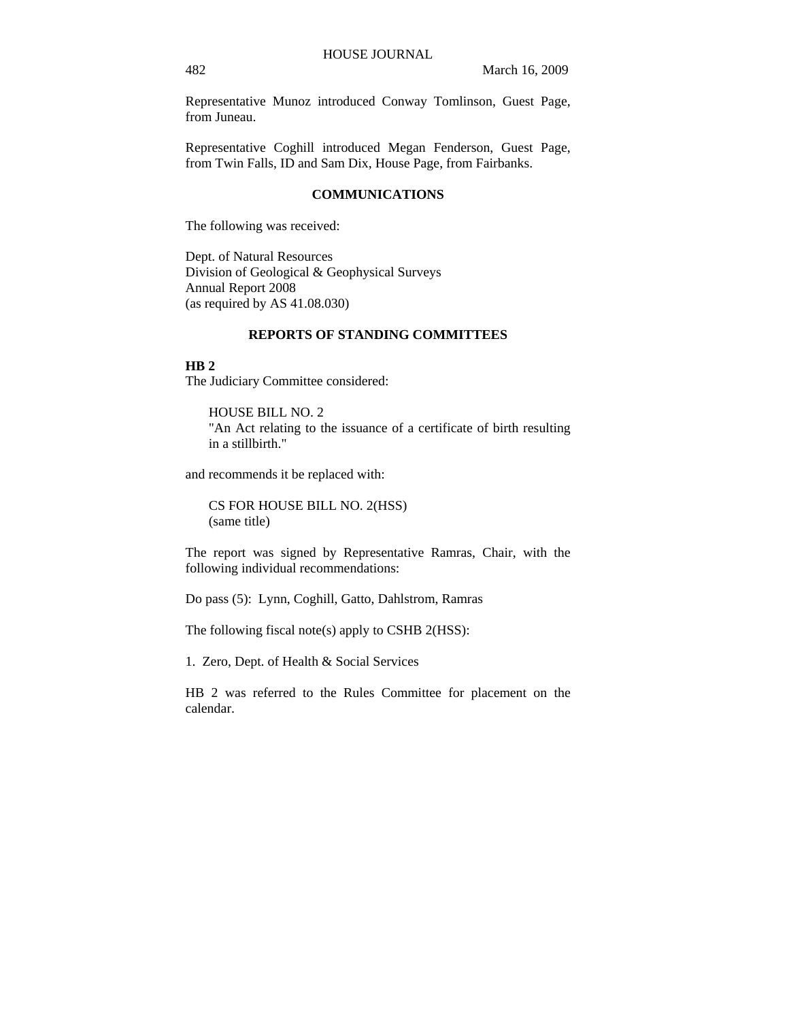Representative Munoz introduced Conway Tomlinson, Guest Page, from Juneau.

Representative Coghill introduced Megan Fenderson, Guest Page, from Twin Falls, ID and Sam Dix, House Page, from Fairbanks.

#### **COMMUNICATIONS**

The following was received:

Dept. of Natural Resources Division of Geological & Geophysical Surveys Annual Report 2008 (as required by AS 41.08.030)

# **REPORTS OF STANDING COMMITTEES**

### **HB 2**

The Judiciary Committee considered:

HOUSE BILL NO. 2 "An Act relating to the issuance of a certificate of birth resulting in a stillbirth."

and recommends it be replaced with:

CS FOR HOUSE BILL NO. 2(HSS) (same title)

The report was signed by Representative Ramras, Chair, with the following individual recommendations:

Do pass (5): Lynn, Coghill, Gatto, Dahlstrom, Ramras

The following fiscal note(s) apply to CSHB 2(HSS):

1. Zero, Dept. of Health & Social Services

HB 2 was referred to the Rules Committee for placement on the calendar.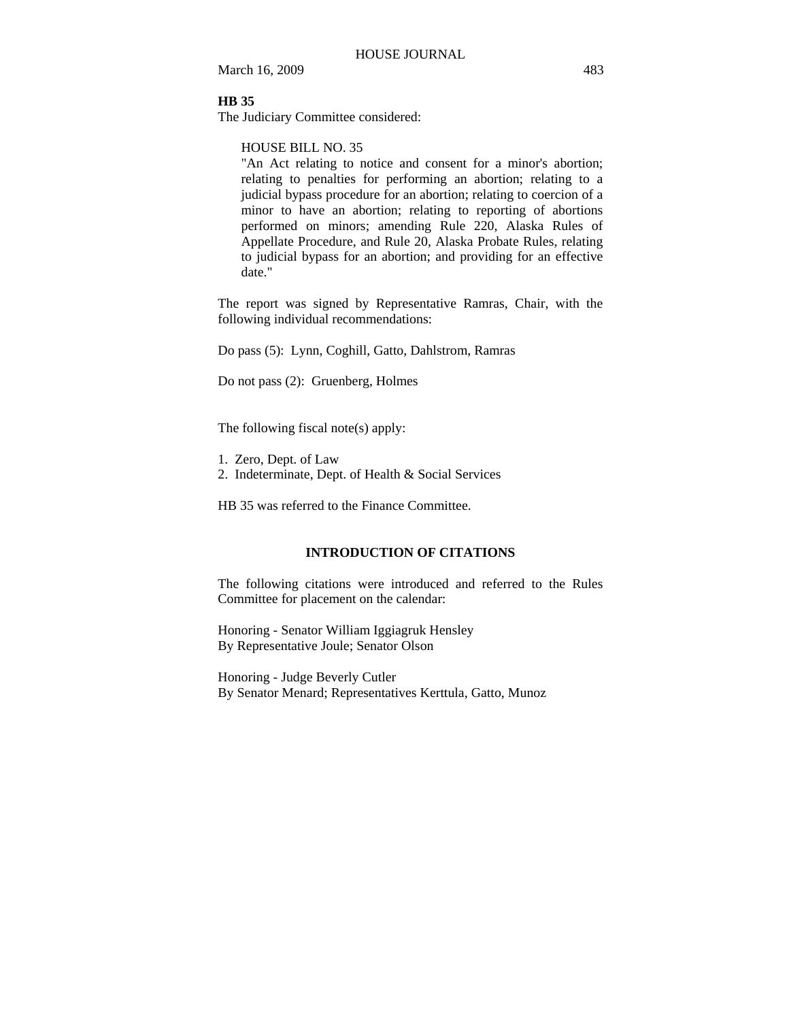March 16, 2009 483

# **HB 35**

The Judiciary Committee considered:

### HOUSE BILL NO. 35

"An Act relating to notice and consent for a minor's abortion; relating to penalties for performing an abortion; relating to a judicial bypass procedure for an abortion; relating to coercion of a minor to have an abortion; relating to reporting of abortions performed on minors; amending Rule 220, Alaska Rules of Appellate Procedure, and Rule 20, Alaska Probate Rules, relating to judicial bypass for an abortion; and providing for an effective date."

The report was signed by Representative Ramras, Chair, with the following individual recommendations:

Do pass (5): Lynn, Coghill, Gatto, Dahlstrom, Ramras

Do not pass (2): Gruenberg, Holmes

The following fiscal note(s) apply:

- 1. Zero, Dept. of Law
- 2. Indeterminate, Dept. of Health & Social Services

HB 35 was referred to the Finance Committee.

# **INTRODUCTION OF CITATIONS**

The following citations were introduced and referred to the Rules Committee for placement on the calendar:

Honoring - Senator William Iggiagruk Hensley By Representative Joule; Senator Olson

Honoring - Judge Beverly Cutler By Senator Menard; Representatives Kerttula, Gatto, Munoz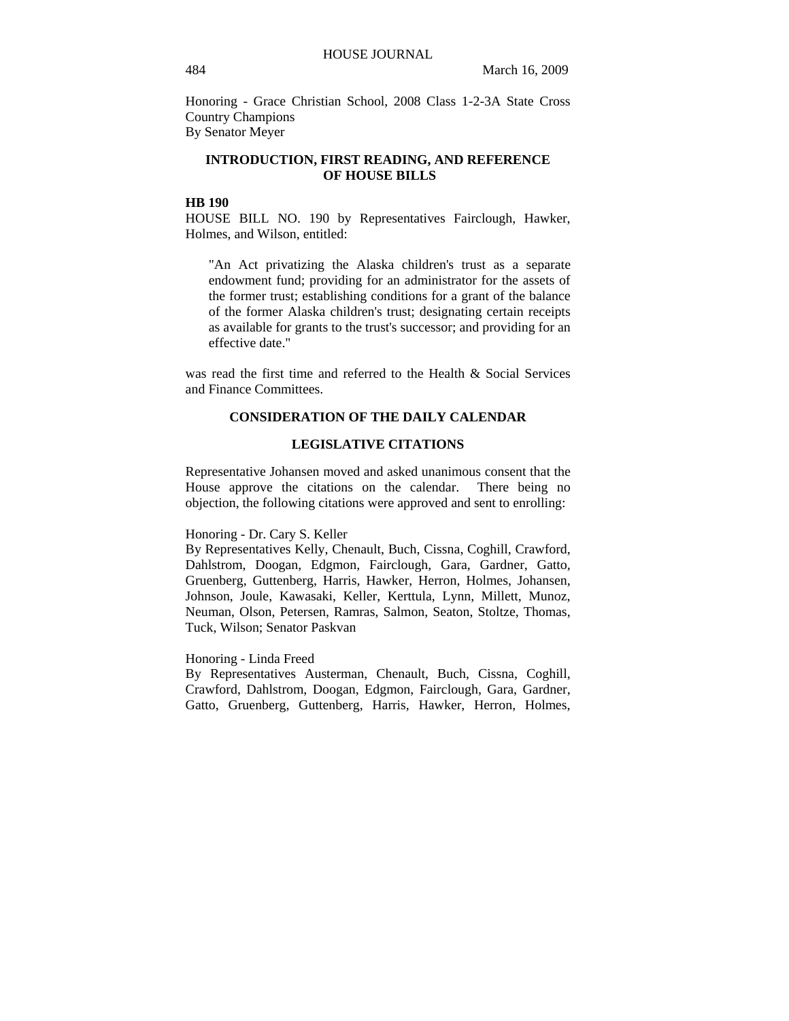Honoring - Grace Christian School, 2008 Class 1-2-3A State Cross Country Champions By Senator Meyer

## **INTRODUCTION, FIRST READING, AND REFERENCE OF HOUSE BILLS**

#### **HB 190**

HOUSE BILL NO. 190 by Representatives Fairclough, Hawker, Holmes, and Wilson, entitled:

"An Act privatizing the Alaska children's trust as a separate endowment fund; providing for an administrator for the assets of the former trust; establishing conditions for a grant of the balance of the former Alaska children's trust; designating certain receipts as available for grants to the trust's successor; and providing for an effective date."

was read the first time and referred to the Health & Social Services and Finance Committees.

#### **CONSIDERATION OF THE DAILY CALENDAR**

#### **LEGISLATIVE CITATIONS**

Representative Johansen moved and asked unanimous consent that the House approve the citations on the calendar. There being no objection, the following citations were approved and sent to enrolling:

#### Honoring - Dr. Cary S. Keller

By Representatives Kelly, Chenault, Buch, Cissna, Coghill, Crawford, Dahlstrom, Doogan, Edgmon, Fairclough, Gara, Gardner, Gatto, Gruenberg, Guttenberg, Harris, Hawker, Herron, Holmes, Johansen, Johnson, Joule, Kawasaki, Keller, Kerttula, Lynn, Millett, Munoz, Neuman, Olson, Petersen, Ramras, Salmon, Seaton, Stoltze, Thomas, Tuck, Wilson; Senator Paskvan

### Honoring - Linda Freed

By Representatives Austerman, Chenault, Buch, Cissna, Coghill, Crawford, Dahlstrom, Doogan, Edgmon, Fairclough, Gara, Gardner, Gatto, Gruenberg, Guttenberg, Harris, Hawker, Herron, Holmes,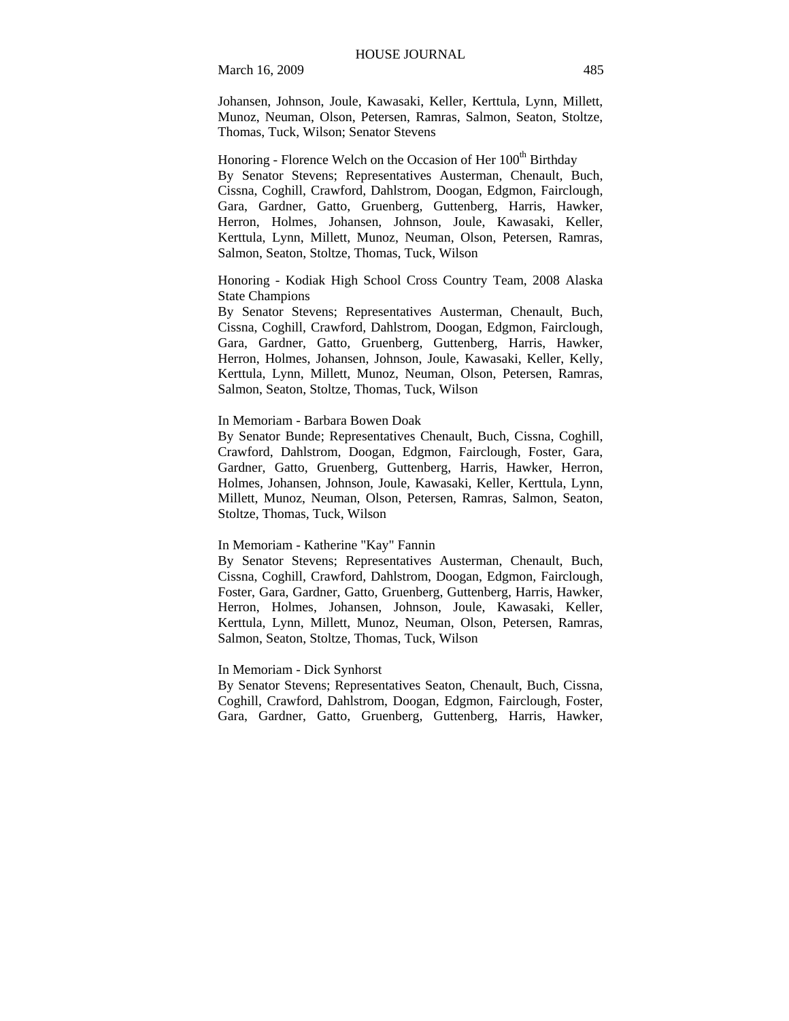March 16, 2009 485

Johansen, Johnson, Joule, Kawasaki, Keller, Kerttula, Lynn, Millett, Munoz, Neuman, Olson, Petersen, Ramras, Salmon, Seaton, Stoltze, Thomas, Tuck, Wilson; Senator Stevens

Honoring - Florence Welch on the Occasion of Her 100<sup>th</sup> Birthday By Senator Stevens; Representatives Austerman, Chenault, Buch, Cissna, Coghill, Crawford, Dahlstrom, Doogan, Edgmon, Fairclough, Gara, Gardner, Gatto, Gruenberg, Guttenberg, Harris, Hawker, Herron, Holmes, Johansen, Johnson, Joule, Kawasaki, Keller, Kerttula, Lynn, Millett, Munoz, Neuman, Olson, Petersen, Ramras, Salmon, Seaton, Stoltze, Thomas, Tuck, Wilson

Honoring - Kodiak High School Cross Country Team, 2008 Alaska State Champions

By Senator Stevens; Representatives Austerman, Chenault, Buch, Cissna, Coghill, Crawford, Dahlstrom, Doogan, Edgmon, Fairclough, Gara, Gardner, Gatto, Gruenberg, Guttenberg, Harris, Hawker, Herron, Holmes, Johansen, Johnson, Joule, Kawasaki, Keller, Kelly, Kerttula, Lynn, Millett, Munoz, Neuman, Olson, Petersen, Ramras, Salmon, Seaton, Stoltze, Thomas, Tuck, Wilson

#### In Memoriam - Barbara Bowen Doak

By Senator Bunde; Representatives Chenault, Buch, Cissna, Coghill, Crawford, Dahlstrom, Doogan, Edgmon, Fairclough, Foster, Gara, Gardner, Gatto, Gruenberg, Guttenberg, Harris, Hawker, Herron, Holmes, Johansen, Johnson, Joule, Kawasaki, Keller, Kerttula, Lynn, Millett, Munoz, Neuman, Olson, Petersen, Ramras, Salmon, Seaton, Stoltze, Thomas, Tuck, Wilson

#### In Memoriam - Katherine "Kay" Fannin

By Senator Stevens; Representatives Austerman, Chenault, Buch, Cissna, Coghill, Crawford, Dahlstrom, Doogan, Edgmon, Fairclough, Foster, Gara, Gardner, Gatto, Gruenberg, Guttenberg, Harris, Hawker, Herron, Holmes, Johansen, Johnson, Joule, Kawasaki, Keller, Kerttula, Lynn, Millett, Munoz, Neuman, Olson, Petersen, Ramras, Salmon, Seaton, Stoltze, Thomas, Tuck, Wilson

#### In Memoriam - Dick Synhorst

By Senator Stevens; Representatives Seaton, Chenault, Buch, Cissna, Coghill, Crawford, Dahlstrom, Doogan, Edgmon, Fairclough, Foster, Gara, Gardner, Gatto, Gruenberg, Guttenberg, Harris, Hawker,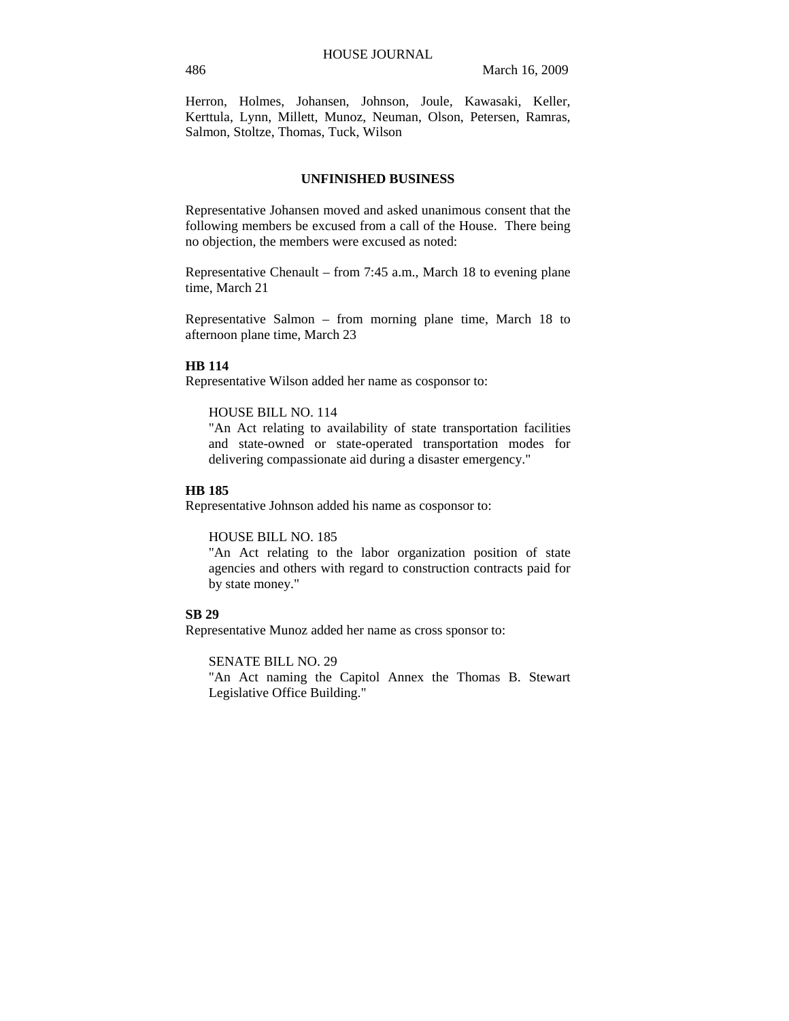Herron, Holmes, Johansen, Johnson, Joule, Kawasaki, Keller, Kerttula, Lynn, Millett, Munoz, Neuman, Olson, Petersen, Ramras, Salmon, Stoltze, Thomas, Tuck, Wilson

### **UNFINISHED BUSINESS**

Representative Johansen moved and asked unanimous consent that the following members be excused from a call of the House. There being no objection, the members were excused as noted:

Representative Chenault – from 7:45 a.m., March 18 to evening plane time, March 21

Representative Salmon – from morning plane time, March 18 to afternoon plane time, March 23

#### **HB 114**

Representative Wilson added her name as cosponsor to:

#### HOUSE BILL NO. 114

"An Act relating to availability of state transportation facilities and state-owned or state-operated transportation modes for delivering compassionate aid during a disaster emergency."

### **HB 185**

Representative Johnson added his name as cosponsor to:

#### HOUSE BILL NO. 185

"An Act relating to the labor organization position of state agencies and others with regard to construction contracts paid for by state money."

#### **SB 29**

Representative Munoz added her name as cross sponsor to:

## SENATE BILL NO. 29

"An Act naming the Capitol Annex the Thomas B. Stewart Legislative Office Building."